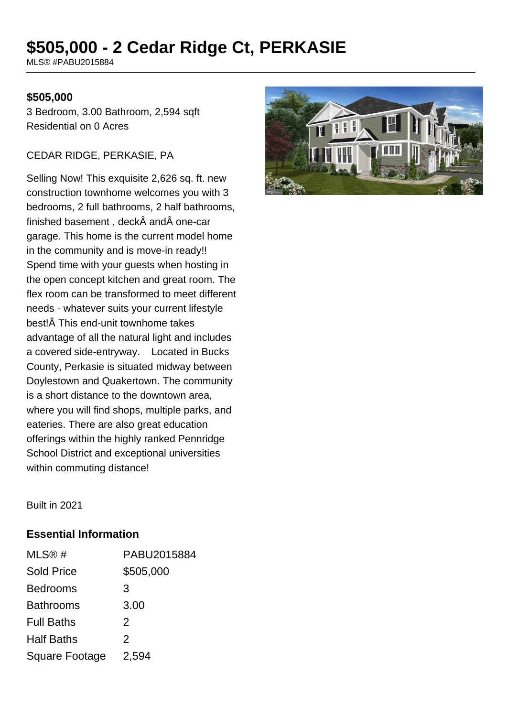# **\$505,000 - 2 Cedar Ridge Ct, PERKASIE**

MLS® #PABU2015884

### **\$505,000**

3 Bedroom, 3.00 Bathroom, 2,594 sqft Residential on 0 Acres

#### CEDAR RIDGE, PERKASIE, PA

Selling Now! This exquisite 2,626 sq. ft. new construction townhome welcomes you with 3 bedrooms, 2 full bathrooms, 2 half bathrooms, finished basement, deck and one-car garage. This home is the current model home in the community and is move-in ready!! Spend time with your guests when hosting in the open concept kitchen and great room. The flex room can be transformed to meet different needs - whatever suits your current lifestyle best<sup>1</sup>Å This end-unit townhome takes advantage of all the natural light and includes a covered side-entryway. Located in Bucks County, Perkasie is situated midway between Doylestown and Quakertown. The community is a short distance to the downtown area, where you will find shops, multiple parks, and eateries. There are also great education offerings within the highly ranked Pennridge School District and exceptional universities within commuting distance!



Built in 2021

### **Essential Information**

| MLS@#                 | PABU2015884 |
|-----------------------|-------------|
| Sold Price            | \$505,000   |
| <b>Bedrooms</b>       | 3           |
| <b>Bathrooms</b>      | 3.00        |
| <b>Full Baths</b>     | 2           |
| <b>Half Baths</b>     | 2           |
| <b>Square Footage</b> | 2,594       |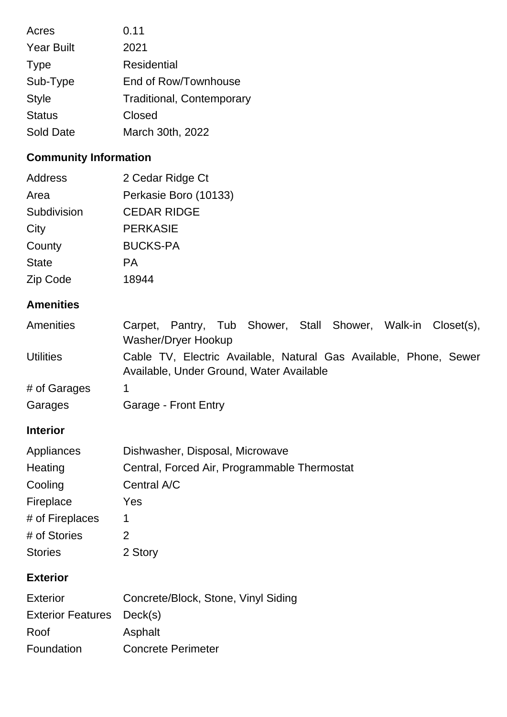| Acres             | 0.11                             |
|-------------------|----------------------------------|
| <b>Year Built</b> | 2021                             |
| <b>Type</b>       | Residential                      |
| Sub-Type          | End of Row/Townhouse             |
| <b>Style</b>      | <b>Traditional, Contemporary</b> |
| <b>Status</b>     | Closed                           |
| <b>Sold Date</b>  | March 30th, 2022                 |

# **Community Information**

| <b>Address</b>           | 2 Cedar Ridge Ct                                                                                              |  |
|--------------------------|---------------------------------------------------------------------------------------------------------------|--|
| Area                     | Perkasie Boro (10133)                                                                                         |  |
| Subdivision              | <b>CEDAR RIDGE</b>                                                                                            |  |
| City                     | <b>PERKASIE</b>                                                                                               |  |
| County                   | <b>BUCKS-PA</b>                                                                                               |  |
| <b>State</b>             | <b>PA</b>                                                                                                     |  |
| Zip Code                 | 18944                                                                                                         |  |
| <b>Amenities</b>         |                                                                                                               |  |
| <b>Amenities</b>         | Carpet, Pantry, Tub Shower, Stall Shower, Walk-in Closet(s),<br>Washer/Dryer Hookup                           |  |
| <b>Utilities</b>         | Cable TV, Electric Available, Natural Gas Available, Phone, Sewer<br>Available, Under Ground, Water Available |  |
| # of Garages             | 1                                                                                                             |  |
| Garages                  | Garage - Front Entry                                                                                          |  |
| <b>Interior</b>          |                                                                                                               |  |
| Appliances               | Dishwasher, Disposal, Microwave                                                                               |  |
| Heating                  | Central, Forced Air, Programmable Thermostat                                                                  |  |
| Cooling                  | Central A/C                                                                                                   |  |
| Fireplace                | Yes                                                                                                           |  |
| # of Fireplaces          | 1                                                                                                             |  |
| # of Stories             | $\overline{2}$                                                                                                |  |
| <b>Stories</b>           | 2 Story                                                                                                       |  |
| <b>Exterior</b>          |                                                                                                               |  |
| <b>Exterior</b>          | Concrete/Block, Stone, Vinyl Siding                                                                           |  |
| <b>Exterior Features</b> | Deck(s)                                                                                                       |  |

Roof Asphalt Foundation Concrete Perimeter